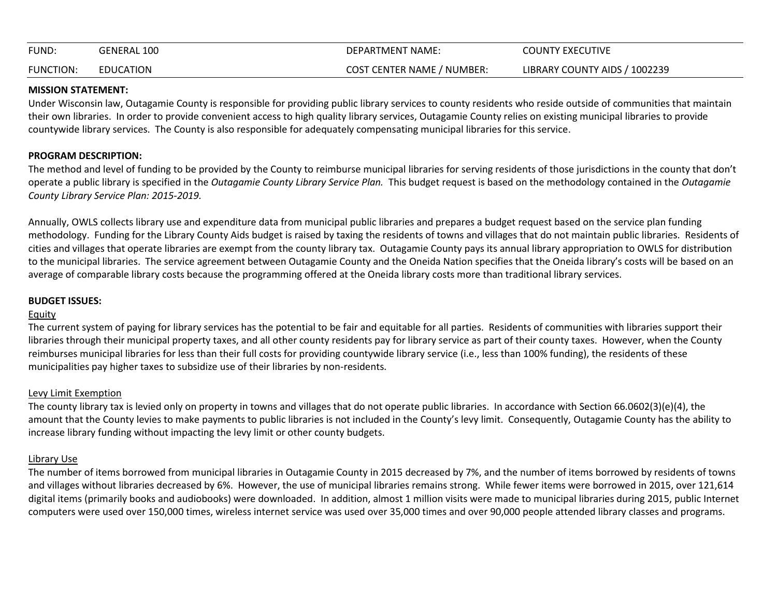| FUND:            | GENERAL 100      | DEPARTMENT NAME:                  | <b>COUNTY EXECUTIVE</b>       |
|------------------|------------------|-----------------------------------|-------------------------------|
| <b>FUNCTION:</b> | <b>EDUCATION</b> | <b>COST CENTER NAME / NUMBER:</b> | LIBRARY COUNTY AIDS / 1002239 |

#### **MISSION STATEMENT:**

Under Wisconsin law, Outagamie County is responsible for providing public library services to county residents who reside outside of communities that maintain their own libraries. In order to provide convenient access to high quality library services, Outagamie County relies on existing municipal libraries to provide countywide library services. The County is also responsible for adequately compensating municipal libraries for this service.

## **PROGRAM DESCRIPTION:**

The method and level of funding to be provided by the County to reimburse municipal libraries for serving residents of those jurisdictions in the county that don't operate a public library is specified in the *Outagamie County Library Service Plan.* This budget request is based on the methodology contained in the *Outagamie County Library Service Plan: 2015-2019.*

Annually, OWLS collects library use and expenditure data from municipal public libraries and prepares a budget request based on the service plan funding methodology. Funding for the Library County Aids budget is raised by taxing the residents of towns and villages that do not maintain public libraries. Residents of cities and villages that operate libraries are exempt from the county library tax. Outagamie County pays its annual library appropriation to OWLS for distribution to the municipal libraries. The service agreement between Outagamie County and the Oneida Nation specifies that the Oneida library's costs will be based on an average of comparable library costs because the programming offered at the Oneida library costs more than traditional library services.

### **BUDGET ISSUES:**

### Equity

The current system of paying for library services has the potential to be fair and equitable for all parties. Residents of communities with libraries support their libraries through their municipal property taxes, and all other county residents pay for library service as part of their county taxes. However, when the County reimburses municipal libraries for less than their full costs for providing countywide library service (i.e., less than 100% funding), the residents of these municipalities pay higher taxes to subsidize use of their libraries by non-residents.

### Levy Limit Exemption

The county library tax is levied only on property in towns and villages that do not operate public libraries. In accordance with Section 66.0602(3)(e)(4), the amount that the County levies to make payments to public libraries is not included in the County's levy limit. Consequently, Outagamie County has the ability to increase library funding without impacting the levy limit or other county budgets.

# Library Use

The number of items borrowed from municipal libraries in Outagamie County in 2015 decreased by 7%, and the number of items borrowed by residents of towns and villages without libraries decreased by 6%. However, the use of municipal libraries remains strong. While fewer items were borrowed in 2015, over 121,614 digital items (primarily books and audiobooks) were downloaded. In addition, almost 1 million visits were made to municipal libraries during 2015, public Internet computers were used over 150,000 times, wireless internet service was used over 35,000 times and over 90,000 people attended library classes and programs.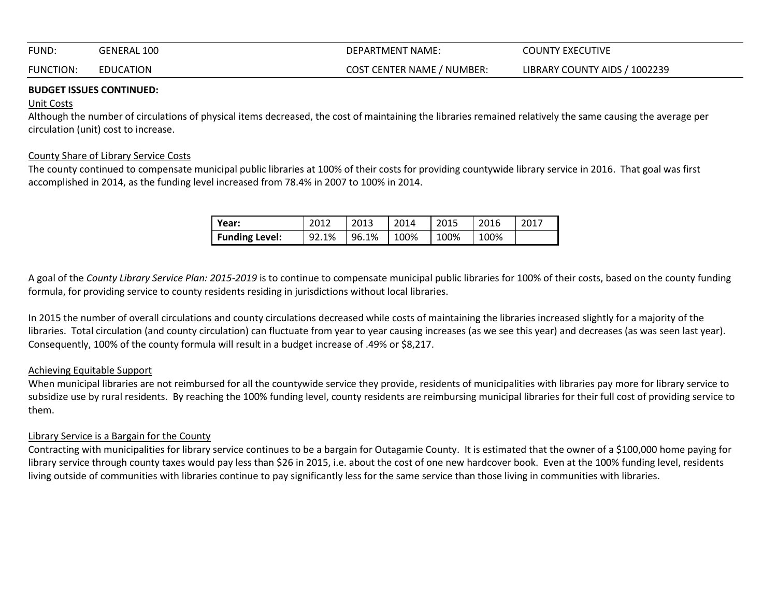| FUND:            | <b>GENERAL 100</b> | DEPARTMENT NAME:                  | COUNTY EXECUTIVE              |
|------------------|--------------------|-----------------------------------|-------------------------------|
| <b>FUNCTION:</b> | EDUCATION          | <b>COST CENTER NAME / NUMBER:</b> | LIBRARY COUNTY AIDS / 1002239 |

#### **BUDGET ISSUES CONTINUED:**

#### Unit Costs

Although the number of circulations of physical items decreased, the cost of maintaining the libraries remained relatively the same causing the average per circulation (unit) cost to increase.

### County Share of Library Service Costs

The county continued to compensate municipal public libraries at 100% of their costs for providing countywide library service in 2016. That goal was first accomplished in 2014, as the funding level increased from 78.4% in 2007 to 100% in 2014.

| Year:                 | 2012  | 2013  | 2014 | 2015 | 2016 | 2017 |
|-----------------------|-------|-------|------|------|------|------|
| <b>Funding Level:</b> | 92.1% | 96.1% | 100% | 100% | 100% |      |

A goal of the *County Library Service Plan: 2015-2019* is to continue to compensate municipal public libraries for 100% of their costs, based on the county funding formula, for providing service to county residents residing in jurisdictions without local libraries.

In 2015 the number of overall circulations and county circulations decreased while costs of maintaining the libraries increased slightly for a majority of the libraries. Total circulation (and county circulation) can fluctuate from year to year causing increases (as we see this year) and decreases (as was seen last year). Consequently, 100% of the county formula will result in a budget increase of .49% or \$8,217.

### Achieving Equitable Support

When municipal libraries are not reimbursed for all the countywide service they provide, residents of municipalities with libraries pay more for library service to subsidize use by rural residents. By reaching the 100% funding level, county residents are reimbursing municipal libraries for their full cost of providing service to them.

### Library Service is a Bargain for the County

Contracting with municipalities for library service continues to be a bargain for Outagamie County. It is estimated that the owner of a \$100,000 home paying for library service through county taxes would pay less than \$26 in 2015, i.e. about the cost of one new hardcover book. Even at the 100% funding level, residents living outside of communities with libraries continue to pay significantly less for the same service than those living in communities with libraries.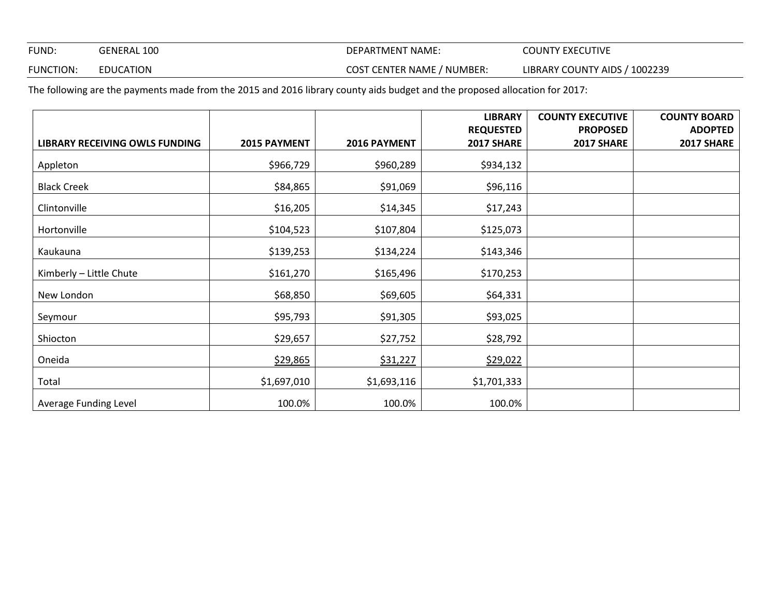FUND: GENERAL 100 GENERAL 100 DEPARTMENT NAME: COUNTY EXECUTIVE

FUNCTION: EDUCATION **EXECUTER SOLUTER SERVICE COST CENTER NAME** / NUMBER: LIBRARY COUNTY AIDS / 1002239

The following are the payments made from the 2015 and 2016 library county aids budget and the proposed allocation for 2017:

|                                |              |              | <b>LIBRARY</b>   | <b>COUNTY EXECUTIVE</b> | <b>COUNTY BOARD</b> |
|--------------------------------|--------------|--------------|------------------|-------------------------|---------------------|
|                                |              |              | <b>REQUESTED</b> | <b>PROPOSED</b>         | <b>ADOPTED</b>      |
| LIBRARY RECEIVING OWLS FUNDING | 2015 PAYMENT | 2016 PAYMENT | 2017 SHARE       | 2017 SHARE              | 2017 SHARE          |
| Appleton                       | \$966,729    | \$960,289    | \$934,132        |                         |                     |
| <b>Black Creek</b>             | \$84,865     | \$91,069     | \$96,116         |                         |                     |
| Clintonville                   | \$16,205     | \$14,345     | \$17,243         |                         |                     |
| Hortonville                    | \$104,523    | \$107,804    | \$125,073        |                         |                     |
| Kaukauna                       | \$139,253    | \$134,224    | \$143,346        |                         |                     |
| Kimberly - Little Chute        | \$161,270    | \$165,496    | \$170,253        |                         |                     |
| New London                     | \$68,850     | \$69,605     | \$64,331         |                         |                     |
| Seymour                        | \$95,793     | \$91,305     | \$93,025         |                         |                     |
| Shiocton                       | \$29,657     | \$27,752     | \$28,792         |                         |                     |
| Oneida                         | \$29,865     | \$31,227     | \$29,022         |                         |                     |
| Total                          | \$1,697,010  | \$1,693,116  | \$1,701,333      |                         |                     |
| Average Funding Level          | 100.0%       | 100.0%       | 100.0%           |                         |                     |